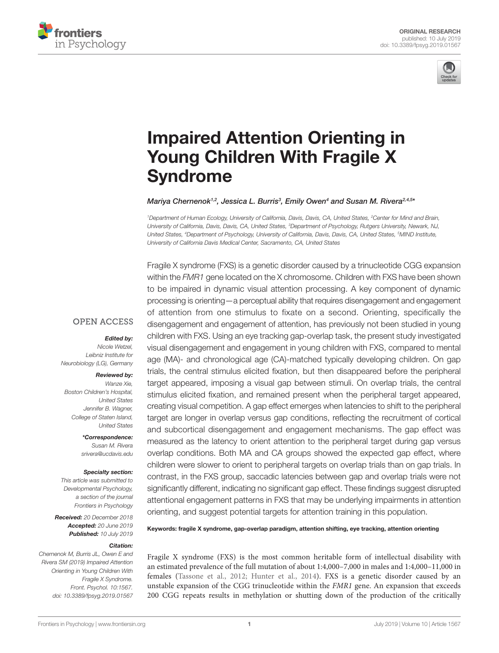



# [Impaired Attention Orienting in](https://www.frontiersin.org/articles/10.3389/fpsyg.2019.01567/full)  [Young Children With Fragile X](https://www.frontiersin.org/articles/10.3389/fpsyg.2019.01567/full)  [Syndrome](https://www.frontiersin.org/articles/10.3389/fpsyg.2019.01567/full)

Mariya Chernenok<sup>1,2</sup>, Jessica L. Burris<sup>3</sup>, Emily Owen<sup>4</sup> and Susan M. Rivera<sup>2,4,5\*</sup>

*1 Department of Human Ecology, University of California, Davis, Davis, CA, United States, 2 Center for Mind and Brain, University of California, Davis, Davis, CA, United States, 3 Department of Psychology, Rutgers University, Newark, NJ, United States, 4 Department of Psychology, University of California, Davis, Davis, CA, United States, 5 MIND Institute, University of California Davis Medical Center, Sacramento, CA, United States*

Fragile X syndrome (FXS) is a genetic disorder caused by a trinucleotide CGG expansion within the *FMR1* gene located on the X chromosome. Children with FXS have been shown to be impaired in dynamic visual attention processing. A key component of dynamic processing is orienting—a perceptual ability that requires disengagement and engagement of attention from one stimulus to fixate on a second. Orienting, specifically the disengagement and engagement of attention, has previously not been studied in young children with FXS. Using an eye tracking gap-overlap task, the present study investigated visual disengagement and engagement in young children with FXS, compared to mental age (MA)- and chronological age (CA)-matched typically developing children. On gap trials, the central stimulus elicited fixation, but then disappeared before the peripheral target appeared, imposing a visual gap between stimuli. On overlap trials, the central stimulus elicited fixation, and remained present when the peripheral target appeared, creating visual competition. A gap effect emerges when latencies to shift to the peripheral target are longer in overlap versus gap conditions, reflecting the recruitment of cortical and subcortical disengagement and engagement mechanisms. The gap effect was measured as the latency to orient attention to the peripheral target during gap versus overlap conditions. Both MA and CA groups showed the expected gap effect, where children were slower to orient to peripheral targets on overlap trials than on gap trials. In contrast, in the FXS group, saccadic latencies between gap and overlap trials were not significantly different, indicating no significant gap effect. These findings suggest disrupted attentional engagement patterns in FXS that may be underlying impairments in attention orienting, and suggest potential targets for attention training in this population.

**OPEN ACCESS** 

#### *Edited by:*

*Nicole Wetzel, Leibniz Institute for Neurobiology (LG), Germany*

#### *Reviewed by:*

*Wanze Xie, Boston Children's Hospital, United States Jennifer B. Wagner, College of Staten Island, United States*

> *\*Correspondence: Susan M. Rivera [srivera@ucdavis.edu](mailto:srivera@ucdavis.edu)*

#### *Specialty section:*

*This article was submitted to Developmental Psychology, a section of the journal Frontiers in Psychology*

*Received: 20 December 2018 Accepted: 20 June 2019 Published: 10 July 2019*

#### *Citation:*

*Chernenok M, Burris JL, Owen E and Rivera SM (2019) Impaired Attention Orienting in Young Children With Fragile X Syndrome. Front. Psychol. 10:1567. [doi: 10.3389/fpsyg.2019.01567](https://doi.org/10.3389/fpsyg.2019.01567)*

Keywords: fragile X syndrome, gap-overlap paradigm, attention shifting, eye tracking, attention orienting

Fragile X syndrome (FXS) is the most common heritable form of intellectual disability with an estimated prevalence of the full mutation of about 1:4,000–7,000 in males and 1:4,000–11,000 in females ([Tassone et al., 2012](#page-7-0); [Hunter et al., 2014\)](#page-7-1). FXS is a genetic disorder caused by an unstable expansion of the CGG trinucleotide within the *FMR1* gene. An expansion that exceeds 200 CGG repeats results in methylation or shutting down of the production of the critically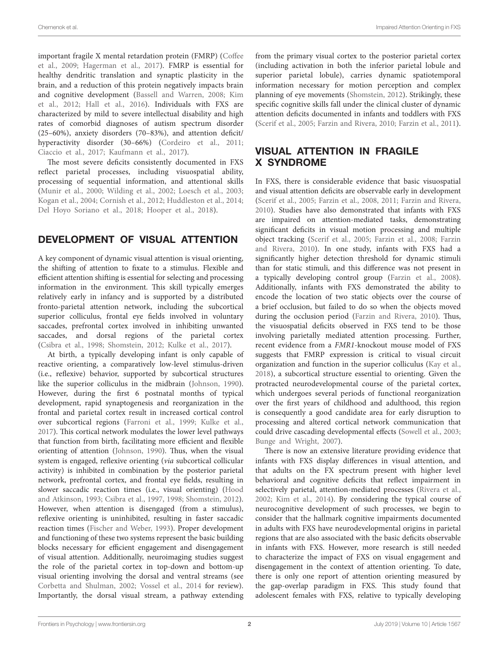important fragile X mental retardation protein (FMRP) ([Coffee](#page-6-0)  [et al., 2009;](#page-6-0) [Hagerman et al., 2017\)](#page-7-2). FMRP is essential for healthy dendritic translation and synaptic plasticity in the brain, and a reduction of this protein negatively impacts brain and cognitive development [\(Bassell and Warren, 2008;](#page-6-1) [Kim](#page-7-3)  [et al., 2012;](#page-7-3) [Hall et al., 2016](#page-7-4)). Individuals with FXS are characterized by mild to severe intellectual disability and high rates of comorbid diagnoses of autism spectrum disorder (25–60%), anxiety disorders (70–83%), and attention deficit/ hyperactivity disorder (30–66%) ([Cordeiro et al., 2011](#page-6-2); [Ciaccio et al., 2017](#page-6-3); [Kaufmann et al., 2017](#page-7-5)).

The most severe deficits consistently documented in FXS reflect parietal processes, including visuospatial ability, processing of sequential information, and attentional skills ([Munir et al., 2000;](#page-7-6) [Wilding et al., 2002](#page-7-7); [Loesch et al., 2003](#page-7-8); [Kogan et al., 2004](#page-7-9); [Cornish et al., 2012](#page-6-4); [Huddleston et al., 2014](#page-7-10); [Del Hoyo Soriano et al., 2018;](#page-7-11) [Hooper et al., 2018\)](#page-7-12).

# DEVELOPMENT OF VISUAL ATTENTION

A key component of dynamic visual attention is visual orienting, the shifting of attention to fixate to a stimulus. Flexible and efficient attention shifting is essential for selecting and processing information in the environment. This skill typically emerges relatively early in infancy and is supported by a distributed fronto-parietal attention network, including the subcortical superior colliculus, frontal eye fields involved in voluntary saccades, prefrontal cortex involved in inhibiting unwanted saccades, and dorsal regions of the parietal cortex ([Csibra et al., 1998](#page-7-13); [Shomstein, 2012;](#page-7-14) [Kulke et al., 2017](#page-7-15)).

At birth, a typically developing infant is only capable of reactive orienting, a comparatively low-level stimulus-driven (i.e., reflexive) behavior, supported by subcortical structures like the superior colliculus in the midbrain ([Johnson, 1990](#page-7-16)). However, during the first 6 postnatal months of typical development, rapid synaptogenesis and reorganization in the frontal and parietal cortex result in increased cortical control over subcortical regions [\(Farroni et al., 1999](#page-7-17); [Kulke et al.,](#page-7-15)  [2017\)](#page-7-15). This cortical network modulates the lower level pathways that function from birth, facilitating more efficient and flexible orienting of attention ([Johnson, 1990](#page-7-16)). Thus, when the visual system is engaged, reflexive orienting (*via* subcortical collicular activity) is inhibited in combination by the posterior parietal network, prefrontal cortex, and frontal eye fields, resulting in slower saccadic reaction times (i.e., visual orienting) ([Hood](#page-7-18)  [and Atkinson, 1993](#page-7-18); [Csibra et al., 1997](#page-7-19), [1998](#page-7-13); [Shomstein, 2012](#page-7-14)). However, when attention is disengaged (from a stimulus), reflexive orienting is uninhibited, resulting in faster saccadic reaction times [\(Fischer and Weber, 1993](#page-7-20)). Proper development and functioning of these two systems represent the basic building blocks necessary for efficient engagement and disengagement of visual attention. Additionally, neuroimaging studies suggest the role of the parietal cortex in top-down and bottom-up visual orienting involving the dorsal and ventral streams (see [Corbetta and Shulman, 2002;](#page-6-5) [Vossel et al., 2014](#page-7-21) for review). Importantly, the dorsal visual stream, a pathway extending from the primary visual cortex to the posterior parietal cortex (including activation in both the inferior parietal lobule and superior parietal lobule), carries dynamic spatiotemporal information necessary for motion perception and complex planning of eye movements [\(Shomstein, 2012\)](#page-7-14). Strikingly, these specific cognitive skills fall under the clinical cluster of dynamic attention deficits documented in infants and toddlers with FXS [\(Scerif et al., 2005](#page-7-22); [Farzin and Rivera, 2010;](#page-7-23) [Farzin et al., 2011](#page-7-24)).

## VISUAL ATTENTION IN FRAGILE X SYNDROME

In FXS, there is considerable evidence that basic visuospatial and visual attention deficits are observable early in development [\(Scerif et al., 2005](#page-7-22); [Farzin et al., 2008,](#page-7-25) [2011](#page-7-24); [Farzin and Rivera,](#page-7-23)  [2010\)](#page-7-23). Studies have also demonstrated that infants with FXS are impaired on attention-mediated tasks, demonstrating significant deficits in visual motion processing and multiple object tracking ([Scerif et al., 2005;](#page-7-22) [Farzin et al., 2008](#page-7-25); [Farzin](#page-7-23)  [and Rivera, 2010\)](#page-7-23). In one study, infants with FXS had a significantly higher detection threshold for dynamic stimuli than for static stimuli, and this difference was not present in a typically developing control group [\(Farzin et al., 2008](#page-7-25)). Additionally, infants with FXS demonstrated the ability to encode the location of two static objects over the course of a brief occlusion, but failed to do so when the objects moved during the occlusion period ([Farzin and Rivera, 2010\)](#page-7-23). Thus, the visuospatial deficits observed in FXS tend to be those involving parietally mediated attention processing. Further, recent evidence from a *FMR1*-knockout mouse model of FXS suggests that FMRP expression is critical to visual circuit organization and function in the superior colliculus [\(Kay et al.,](#page-7-26)  [2018\)](#page-7-26), a subcortical structure essential to orienting. Given the protracted neurodevelopmental course of the parietal cortex, which undergoes several periods of functional reorganization over the first years of childhood and adulthood, this region is consequently a good candidate area for early disruption to processing and altered cortical network communication that could drive cascading developmental effects ([Sowell et al., 2003;](#page-7-27) [Bunge and Wright, 2007](#page-6-6)).

There is now an extensive literature providing evidence that infants with FXS display differences in visual attention, and that adults on the FX spectrum present with higher level behavioral and cognitive deficits that reflect impairment in selectively parietal, attention-mediated processes [\(Rivera et al.,](#page-7-28)  [2002;](#page-7-28) [Kim et al., 2014\)](#page-7-29). By considering the typical course of neurocognitive development of such processes, we begin to consider that the hallmark cognitive impairments documented in adults with FXS have neurodevelopmental origins in parietal regions that are also associated with the basic deficits observable in infants with FXS. However, more research is still needed to characterize the impact of FXS on visual engagement and disengagement in the context of attention orienting. To date, there is only one report of attention orienting measured by the gap-overlap paradigm in FXS. This study found that adolescent females with FXS, relative to typically developing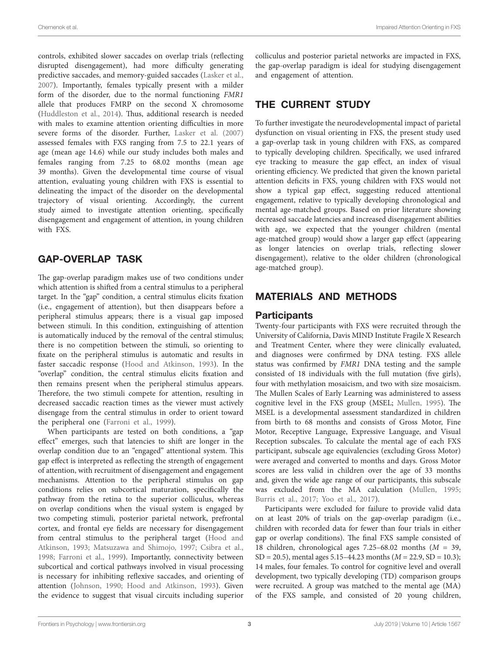controls, exhibited slower saccades on overlap trials (reflecting disrupted disengagement), had more difficulty generating predictive saccades, and memory-guided saccades ([Lasker et al.,](#page-7-30)  [2007\)](#page-7-30). Importantly, females typically present with a milder form of the disorder, due to the normal functioning *FMR1* allele that produces FMRP on the second X chromosome ([Huddleston et al., 2014](#page-7-10)). Thus, additional research is needed with males to examine attention orienting difficulties in more severe forms of the disorder. Further, Lasker et al. (2007) assessed females with FXS ranging from 7.5 to 22.1 years of age (mean age 14.6) while our study includes both males and females ranging from 7.25 to 68.02 months (mean age 39 months). Given the developmental time course of visual attention, evaluating young children with FXS is essential to delineating the impact of the disorder on the developmental trajectory of visual orienting. Accordingly, the current study aimed to investigate attention orienting, specifically disengagement and engagement of attention, in young children with FXS.

# GAP-OVERLAP TASK

The gap-overlap paradigm makes use of two conditions under which attention is shifted from a central stimulus to a peripheral target. In the "gap" condition, a central stimulus elicits fixation (i.e., engagement of attention), but then disappears before a peripheral stimulus appears; there is a visual gap imposed between stimuli. In this condition, extinguishing of attention is automatically induced by the removal of the central stimulus; there is no competition between the stimuli, so orienting to fixate on the peripheral stimulus is automatic and results in faster saccadic response ([Hood and Atkinson, 1993](#page-7-18)). In the "overlap" condition, the central stimulus elicits fixation and then remains present when the peripheral stimulus appears. Therefore, the two stimuli compete for attention, resulting in decreased saccadic reaction times as the viewer must actively disengage from the central stimulus in order to orient toward the peripheral one ([Farroni et al., 1999](#page-7-17)).

When participants are tested on both conditions, a "gap effect" emerges, such that latencies to shift are longer in the overlap condition due to an "engaged" attentional system. This gap effect is interpreted as reflecting the strength of engagement of attention, with recruitment of disengagement and engagement mechanisms. Attention to the peripheral stimulus on gap conditions relies on subcortical maturation, specifically the pathway from the retina to the superior colliculus, whereas on overlap conditions when the visual system is engaged by two competing stimuli, posterior parietal network, prefrontal cortex, and frontal eye fields are necessary for disengagement from central stimulus to the peripheral target [\(Hood and](#page-7-18)  [Atkinson, 1993](#page-7-18); [Matsuzawa and Shimojo, 1997;](#page-7-31) [Csibra et al.,](#page-7-13)  [1998;](#page-7-13) [Farroni et al., 1999\)](#page-7-17). Importantly, connectivity between subcortical and cortical pathways involved in visual processing is necessary for inhibiting reflexive saccades, and orienting of attention ([Johnson, 1990](#page-7-16); [Hood and Atkinson, 1993\)](#page-7-18). Given the evidence to suggest that visual circuits including superior colliculus and posterior parietal networks are impacted in FXS, the gap-overlap paradigm is ideal for studying disengagement and engagement of attention.

# THE CURRENT STUDY

To further investigate the neurodevelopmental impact of parietal dysfunction on visual orienting in FXS, the present study used a gap-overlap task in young children with FXS, as compared to typically developing children. Specifically, we used infrared eye tracking to measure the gap effect, an index of visual orienting efficiency. We predicted that given the known parietal attention deficits in FXS, young children with FXS would not show a typical gap effect, suggesting reduced attentional engagement, relative to typically developing chronological and mental age-matched groups. Based on prior literature showing decreased saccade latencies and increased disengagement abilities with age, we expected that the younger children (mental age-matched group) would show a larger gap effect (appearing as longer latencies on overlap trials, reflecting slower disengagement), relative to the older children (chronological age-matched group).

# MATERIALS AND METHODS

## **Participants**

Twenty-four participants with FXS were recruited through the University of California, Davis MIND Institute Fragile X Research and Treatment Center, where they were clinically evaluated, and diagnoses were confirmed by DNA testing. FXS allele status was confirmed by *FMR1* DNA testing and the sample consisted of 18 individuals with the full mutation (five girls), four with methylation mosaicism, and two with size mosaicism. The Mullen Scales of Early Learning was administered to assess cognitive level in the FXS group (MSEL; [Mullen, 1995\)](#page-7-32). The MSEL is a developmental assessment standardized in children from birth to 68 months and consists of Gross Motor, Fine Motor, Receptive Language, Expressive Language, and Visual Reception subscales. To calculate the mental age of each FXS participant, subscale age equivalencies (excluding Gross Motor) were averaged and converted to months and days. Gross Motor scores are less valid in children over the age of 33 months and, given the wide age range of our participants, this subscale was excluded from the MA calculation ([Mullen, 1995;](#page-7-32) [Burris et al., 2017](#page-6-7); [Yoo et al., 2017\)](#page-7-33).

Participants were excluded for failure to provide valid data on at least 20% of trials on the gap-overlap paradigm (i.e., children with recorded data for fewer than four trials in either gap or overlap conditions). The final FXS sample consisted of 18 children, chronological ages 7.25–68.02 months (*M* = 39, SD = 20.5), mental ages 5.15–44.23 months (*M* = 22.9, SD = 10.3); 14 males, four females. To control for cognitive level and overall development, two typically developing (TD) comparison groups were recruited. A group was matched to the mental age (MA) of the FXS sample, and consisted of 20 young children,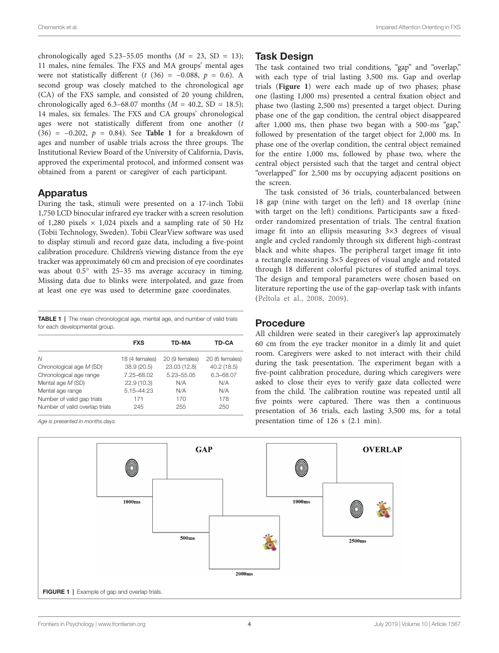chronologically aged  $5.23-55.05$  months  $(M = 23, SD = 13)$ ; 11 males, nine females. The FXS and MA groups' mental ages were not statistically different ( $t$  (36) = -0.088,  $p$  = 0.6). A second group was closely matched to the chronological age (CA) of the FXS sample, and consisted of 20 young children, chronologically aged  $6.3-68.07$  months  $(M = 40.2, SD = 18.5)$ ; 14 males, six females. The FXS and CA groups' chronological ages were not statistically different from one another (*t* (36) = −0.202, *p* = 0.84). See **[Table 1](#page-3-0)** for a breakdown of ages and number of usable trials across the three groups. The Institutional Review Board of the University of California, Davis, approved the experimental protocol, and informed consent was obtained from a parent or caregiver of each participant.

#### Apparatus

During the task, stimuli were presented on a 17-inch Tobii 1,750 LCD binocular infrared eye tracker with a screen resolution of 1,280 pixels  $\times$  1,024 pixels and a sampling rate of 50 Hz (Tobii Technology, Sweden). Tobii ClearView software was used to display stimuli and record gaze data, including a five-point calibration procedure. Children's viewing distance from the eye tracker was approximately 60 cm and precision of eye coordinates was about 0.5° with 25–35 ms average accuracy in timing. Missing data due to blinks were interpolated, and gaze from at least one eye was used to determine gaze coordinates.

<span id="page-3-0"></span>TABLE 1 | The mean chronological age, mental age, and number of valid trials for each developmental group.

| <b>FXS</b>     | <b>TD-MA</b>   | <b>TD-CA</b>   |
|----------------|----------------|----------------|
| 18 (4 females) | 20 (9 females) | 20 (6 females) |
| 38.9 (20.5)    | 23.03 (12.8)   | 40.2 (18.5)    |
| 7.25-68.02     | 5.23-55.05     | $6.3 - 68.07$  |
| 22.9 (10.3)    | N/A            | N/A            |
| 5.15-44.23     | N/A            | N/A            |
| 171            | 170            | 178            |
| 245            | 255            | 250            |
|                |                |                |

*Age is presented in months.days.*

#### Task Design

The task contained two trial conditions, "gap" and "overlap," with each type of trial lasting 3,500 ms. Gap and overlap trials (**[Figure 1](#page-3-1)**) were each made up of two phases; phase one (lasting 1,000 ms) presented a central fixation object and phase two (lasting 2,500 ms) presented a target object. During phase one of the gap condition, the central object disappeared after 1,000 ms, then phase two began with a 500-ms "gap," followed by presentation of the target object for 2,000 ms. In phase one of the overlap condition, the central object remained for the entire 1,000 ms, followed by phase two, where the central object persisted such that the target and central object "overlapped" for 2,500 ms by occupying adjacent positions on the screen.

The task consisted of 36 trials, counterbalanced between 18 gap (nine with target on the left) and 18 overlap (nine with target on the left) conditions. Participants saw a fixedorder randomized presentation of trials. The central fixation image fit into an ellipsis measuring 3×3 degrees of visual angle and cycled randomly through six different high-contrast black and white shapes. The peripheral target image fit into a rectangle measuring 3×5 degrees of visual angle and rotated through 18 different colorful pictures of stuffed animal toys. The design and temporal parameters were chosen based on literature reporting the use of the gap-overlap task with infants [\(Peltola et al., 2008,](#page-7-34) [2009](#page-7-35)).

#### Procedure

All children were seated in their caregiver's lap approximately 60 cm from the eye tracker monitor in a dimly lit and quiet room. Caregivers were asked to not interact with their child during the task presentation. The experiment began with a five-point calibration procedure, during which caregivers were asked to close their eyes to verify gaze data collected were from the child. The calibration routine was repeated until all five points were captured. There was then a continuous presentation of 36 trials, each lasting 3,500 ms, for a total presentation time of 126 s (2.1 min).

<span id="page-3-1"></span>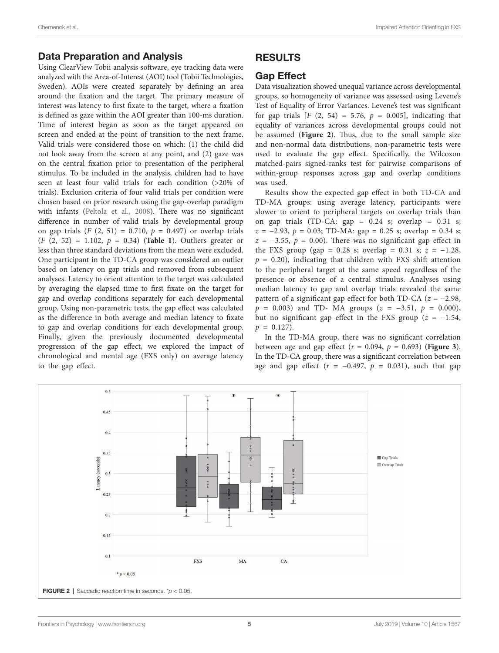#### Data Preparation and Analysis

Using ClearView Tobii analysis software, eye tracking data were analyzed with the Area-of-Interest (AOI) tool (Tobii Technologies, Sweden). AOIs were created separately by defining an area around the fixation and the target. The primary measure of interest was latency to first fixate to the target, where a fixation is defined as gaze within the AOI greater than 100-ms duration. Time of interest began as soon as the target appeared on screen and ended at the point of transition to the next frame. Valid trials were considered those on which: (1) the child did not look away from the screen at any point, and (2) gaze was on the central fixation prior to presentation of the peripheral stimulus. To be included in the analysis, children had to have seen at least four valid trials for each condition (>20% of trials). Exclusion criteria of four valid trials per condition were chosen based on prior research using the gap-overlap paradigm with infants [\(Peltola et al., 2008](#page-7-34)). There was no significant difference in number of valid trials by developmental group on gap trials  $(F(2, 51) = 0.710, p = 0.497)$  or overlap trials  $(F (2, 52) = 1.102, p = 0.34)$  ([Table 1](#page-3-0)). Outliers greater or less than three standard deviations from the mean were excluded. One participant in the TD-CA group was considered an outlier based on latency on gap trials and removed from subsequent analyses. Latency to orient attention to the target was calculated by averaging the elapsed time to first fixate on the target for gap and overlap conditions separately for each developmental group. Using non-parametric tests, the gap effect was calculated as the difference in both average and median latency to fixate to gap and overlap conditions for each developmental group. Finally, given the previously documented developmental progression of the gap effect, we explored the impact of chronological and mental age (FXS only) on average latency to the gap effect.

## RESULTS

## Gap Effect

Data visualization showed unequal variance across developmental groups, so homogeneity of variance was assessed using Levene's Test of Equality of Error Variances. Levene's test was significant for gap trials  $[F (2, 54) = 5.76, p = 0.005]$ , indicating that equality of variances across developmental groups could not be assumed (**[Figure 2](#page-4-0)**). Thus, due to the small sample size and non-normal data distributions, non-parametric tests were used to evaluate the gap effect. Specifically, the Wilcoxon matched-pairs signed-ranks test for pairwise comparisons of within-group responses across gap and overlap conditions was used.

Results show the expected gap effect in both TD-CA and TD-MA groups: using average latency, participants were slower to orient to peripheral targets on overlap trials than on gap trials (TD-CA: gap  $= 0.24$  s; overlap  $= 0.31$  s;  $z = -2.93$ ,  $p = 0.03$ ; TD-MA: gap = 0.25 s; overlap = 0.34 s;  $z = -3.55$ ,  $p = 0.00$ ). There was no significant gap effect in the FXS group (gap =  $0.28$  s; overlap =  $0.31$  s;  $z = -1.28$ ,  $p = 0.20$ , indicating that children with FXS shift attention to the peripheral target at the same speed regardless of the presence or absence of a central stimulus. Analyses using median latency to gap and overlap trials revealed the same pattern of a significant gap effect for both TD-CA (*z* = −2.98,  $p = 0.003$  and TD- MA groups ( $z = -3.51$ ,  $p = 0.000$ ), but no significant gap effect in the FXS group  $(z = -1.54, ...)$  $p = 0.127$ .

In the TD-MA group, there was no significant correlation between age and gap effect  $(r = 0.094, p = 0.693)$  ([Figure 3](#page-5-0)). In the TD-CA group, there was a significant correlation between age and gap effect  $(r = -0.497, p = 0.031)$ , such that gap

<span id="page-4-0"></span>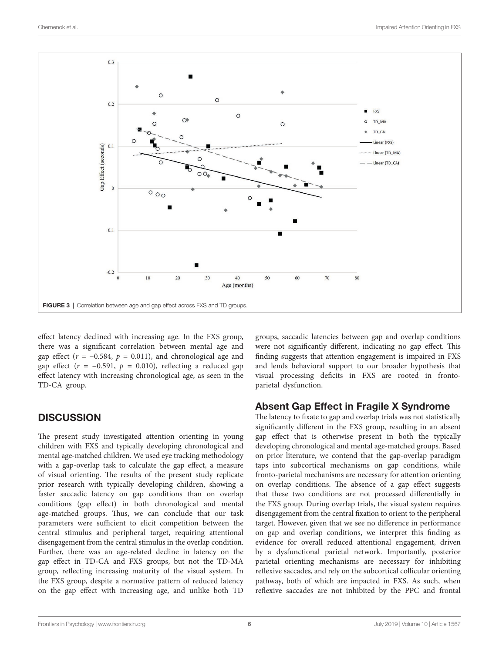<span id="page-5-0"></span>

effect latency declined with increasing age. In the FXS group, there was a significant correlation between mental age and gap effect  $(r = -0.584, p = 0.011)$ , and chronological age and gap effect  $(r = -0.591, p = 0.010)$ , reflecting a reduced gap effect latency with increasing chronological age, as seen in the TD-CA group.

# **DISCUSSION**

The present study investigated attention orienting in young children with FXS and typically developing chronological and mental age-matched children. We used eye tracking methodology with a gap-overlap task to calculate the gap effect, a measure of visual orienting. The results of the present study replicate prior research with typically developing children, showing a faster saccadic latency on gap conditions than on overlap conditions (gap effect) in both chronological and mental age-matched groups. Thus, we can conclude that our task parameters were sufficient to elicit competition between the central stimulus and peripheral target, requiring attentional disengagement from the central stimulus in the overlap condition. Further, there was an age-related decline in latency on the gap effect in TD-CA and FXS groups, but not the TD-MA group, reflecting increasing maturity of the visual system. In the FXS group, despite a normative pattern of reduced latency on the gap effect with increasing age, and unlike both TD groups, saccadic latencies between gap and overlap conditions were not significantly different, indicating no gap effect. This finding suggests that attention engagement is impaired in FXS and lends behavioral support to our broader hypothesis that visual processing deficits in FXS are rooted in frontoparietal dysfunction.

# Absent Gap Effect in Fragile X Syndrome

The latency to fixate to gap and overlap trials was not statistically significantly different in the FXS group, resulting in an absent gap effect that is otherwise present in both the typically developing chronological and mental age-matched groups. Based on prior literature, we contend that the gap-overlap paradigm taps into subcortical mechanisms on gap conditions, while fronto-parietal mechanisms are necessary for attention orienting on overlap conditions. The absence of a gap effect suggests that these two conditions are not processed differentially in the FXS group. During overlap trials, the visual system requires disengagement from the central fixation to orient to the peripheral target. However, given that we see no difference in performance on gap and overlap conditions, we interpret this finding as evidence for overall reduced attentional engagement, driven by a dysfunctional parietal network. Importantly, posterior parietal orienting mechanisms are necessary for inhibiting reflexive saccades, and rely on the subcortical collicular orienting pathway, both of which are impacted in FXS. As such, when reflexive saccades are not inhibited by the PPC and frontal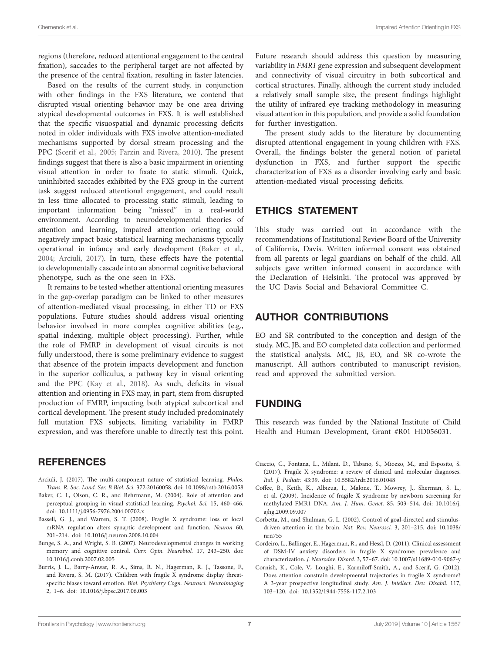regions (therefore, reduced attentional engagement to the central fixation), saccades to the peripheral target are not affected by the presence of the central fixation, resulting in faster latencies.

Based on the results of the current study, in conjunction with other findings in the FXS literature, we contend that disrupted visual orienting behavior may be one area driving atypical developmental outcomes in FXS. It is well established that the specific visuospatial and dynamic processing deficits noted in older individuals with FXS involve attention-mediated mechanisms supported by dorsal stream processing and the PPC [\(Scerif et al., 2005](#page-7-22); [Farzin and Rivera, 2010](#page-7-23)). The present findings suggest that there is also a basic impairment in orienting visual attention in order to fixate to static stimuli. Quick, uninhibited saccades exhibited by the FXS group in the current task suggest reduced attentional engagement, and could result in less time allocated to processing static stimuli, leading to important information being "missed" in a real-world environment. According to neurodevelopmental theories of attention and learning, impaired attention orienting could negatively impact basic statistical learning mechanisms typically operational in infancy and early development [\(Baker et al.,](#page-6-8)  [2004](#page-6-8); [Arciuli, 2017\)](#page-6-9). In turn, these effects have the potential to developmentally cascade into an abnormal cognitive behavioral phenotype, such as the one seen in FXS.

It remains to be tested whether attentional orienting measures in the gap-overlap paradigm can be linked to other measures of attention-mediated visual processing, in either TD or FXS populations. Future studies should address visual orienting behavior involved in more complex cognitive abilities (e.g., spatial indexing, multiple object processing). Further, while the role of FMRP in development of visual circuits is not fully understood, there is some preliminary evidence to suggest that absence of the protein impacts development and function in the superior colliculus, a pathway key in visual orienting and the PPC [\(Kay et al., 2018](#page-7-26)). As such, deficits in visual attention and orienting in FXS may, in part, stem from disrupted production of FMRP, impacting both atypical subcortical and cortical development. The present study included predominately full mutation FXS subjects, limiting variability in FMRP expression, and was therefore unable to directly test this point.

## **REFERENCES**

- <span id="page-6-9"></span>Arciuli, J. (2017). The multi-component nature of statistical learning. *Philos. Trans. R. Soc. Lond. Ser. B Biol. Sci.* 372:20160058. doi: [10.1098/rstb.2016.0058](https://doi.org/10.1098/rstb.2016.0058)
- <span id="page-6-8"></span>Baker, C. I., Olson, C. R., and Behrmann, M. (2004). Role of attention and perceptual grouping in visual statistical learning. *Psychol. Sci.* 15, 460–466. doi: [10.1111/j.0956-7976.2004.00702.x](https://doi.org/10.1111/j.0956-7976.2004.00702.x)
- <span id="page-6-1"></span>Bassell, G. J., and Warren, S. T. (2008). Fragile X syndrome: loss of local mRNA regulation alters synaptic development and function. *Neuron* 60, 201–214. doi: [10.1016/j.neuron.2008.10.004](https://doi.org/10.1016/j.neuron.2008.10.004)
- <span id="page-6-6"></span>Bunge, S. A., and Wright, S. B. (2007). Neurodevelopmental changes in working memory and cognitive control. *Curr. Opin. Neurobiol.* 17, 243–250. doi: [10.1016/j.conb.2007.02.005](https://doi.org/10.1016/j.conb.2007.02.005)
- <span id="page-6-7"></span>Burris, J. L., Barry-Anwar, R. A., Sims, R. N., Hagerman, R. J., Tassone, F., and Rivera, S. M. (2017). Children with fragile X syndrome display threatspecific biases toward emotion. *Biol. Psychiatry Cogn. Neurosci. Neuroimaging* 2, 1–6. doi: [10.1016/j.bpsc.2017.06.003](https://doi.org/10.1016/j.bpsc.2017.06.003)

Future research should address this question by measuring variability in *FMR1* gene expression and subsequent development and connectivity of visual circuitry in both subcortical and cortical structures. Finally, although the current study included a relatively small sample size, the present findings highlight the utility of infrared eye tracking methodology in measuring visual attention in this population, and provide a solid foundation for further investigation.

The present study adds to the literature by documenting disrupted attentional engagement in young children with FXS. Overall, the findings bolster the general notion of parietal dysfunction in FXS, and further support the specific characterization of FXS as a disorder involving early and basic attention-mediated visual processing deficits.

#### ETHICS STATEMENT

This study was carried out in accordance with the recommendations of Institutional Review Board of the University of California, Davis. Written informed consent was obtained from all parents or legal guardians on behalf of the child. All subjects gave written informed consent in accordance with the Declaration of Helsinki. The protocol was approved by the UC Davis Social and Behavioral Committee C.

#### AUTHOR CONTRIBUTIONS

EO and SR contributed to the conception and design of the study. MC, JB, and EO completed data collection and performed the statistical analysis. MC, JB, EO, and SR co-wrote the manuscript. All authors contributed to manuscript revision, read and approved the submitted version.

## FUNDING

This research was funded by the National Institute of Child Health and Human Development, Grant #R01 HD056031.

- <span id="page-6-3"></span>Ciaccio, C., Fontana, L., Milani, D., Tabano, S., Miozzo, M., and Esposito, S. (2017). Fragile X syndrome: a review of clinical and molecular diagnoses. *Ital. J. Pediatr.* 43:39. doi: [10.5582/irdr.2016.01048](https://doi.org/10.5582/irdr.2016.01048)
- <span id="page-6-0"></span>Coffee, B., Keith, K., Albizua, I., Malone, T., Mowrey, J., Sherman, S. L., et al. (2009). Incidence of fragile X syndrome by newborn screening for methylated FMR1 DNA. *Am. J. Hum. Genet.* 85, 503–514. doi: [10.1016/j.](https://doi.org/10.1016/j.ajhg.2009.09.007) [ajhg.2009.09.007](https://doi.org/10.1016/j.ajhg.2009.09.007)
- <span id="page-6-5"></span>Corbetta, M., and Shulman, G. L. (2002). Control of goal-directed and stimulusdriven attention in the brain. *Nat. Rev. Neurosci.* 3, 201–215. doi: [10.1038/](https://doi.org/10.1038/nrn755) [nrn755](https://doi.org/10.1038/nrn755)
- <span id="page-6-2"></span>Cordeiro, L., Ballinger, E., Hagerman, R., and Hessl, D. (2011). Clinical assessment of DSM-IV anxiety disorders in fragile X syndrome: prevalence and characterization. *J. Neurodev. Disord.* 3, 57–67. doi: [10.1007/s11689-010-9067-y](https://doi.org/10.1007/s11689-010-9067-y)
- <span id="page-6-4"></span>Cornish, K., Cole, V., Longhi, E., Karmiloff-Smith, A., and Scerif, G. (2012). Does attention constrain developmental trajectories in fragile X syndrome? A 3-year prospective longitudinal study. *Am. J. Intellect. Dev. Disabil.* 117, 103–120. doi: [10.1352/1944-7558-117.2.103](https://doi.org/10.1352/1944-7558-117.2.103)